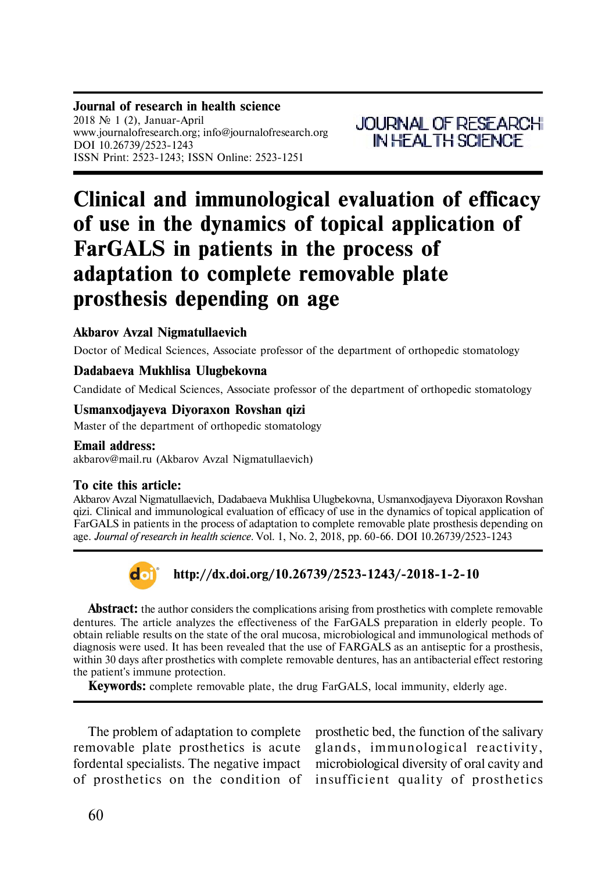# **Clinical and immunological evaluation of efficacy of use in the dynamics of topical application of FarGALS in patients in the process of adaptation to complete removable plate prosthesis depending on age**

## **Akbarov Avzal Nigmatullaevich**

Doctor of Medical Sciences, Associate professor of the department of orthopedic stomatology

## **Dadabaeva Mukhlisa Ulugbekovna**

Candidate of Medical Sciences, Associate professor of the department of orthopedic stomatology

## **Usmanxodjayeva Diyoraxon Rovshan qizi**

Master of the department of orthopedic stomatology

### **Email address:**

akbarov@mail.ru (Akbarov Avzal Nigmatullaevich)

## **To cite this article:**

Akbarov Avzal Nigmatullaevich, Dadabaeva Mukhlisa Ulugbekovna, Usmanxodjayeva Diyoraxon Rovshan qizi. Clinical and immunological evaluation of efficacy of use in the dynamics of topical application of FarGALS in patients in the process of adaptation to complete removable plate prosthesis depending on age. *Journal of research in health science.* Vol. 1, No. 2, 2018, pp. 60-66. DOI 10.26739/2523-1243



## **http://dx.doi.org/10.26739/2523-1243/-2018-1-2-10**

**Abstract:** the author considers the complications arising from prosthetics with complete removable dentures. The article analyzes the effectiveness of the FarGALS preparation in elderly people. To obtain reliable results on the state of the oral mucosa, microbiological and immunological methods of diagnosis were used. It has been revealed that the use of FARGALS as an antiseptic for a prosthesis, within 30 days after prosthetics with complete removable dentures, has an antibacterial effect restoring the patient's immune protection.

**Keywords:** complete removable plate, the drug FarGALS, local immunity, elderly age.

The problem of adaptation to complete removable plate prosthetics is acute fordental specialists. The negative impact of prosthetics on the condition of

prosthetic bed, the function of the salivary glands, immunological reactivity, microbiological diversity of oral cavity and in sufficient quality of prosthetics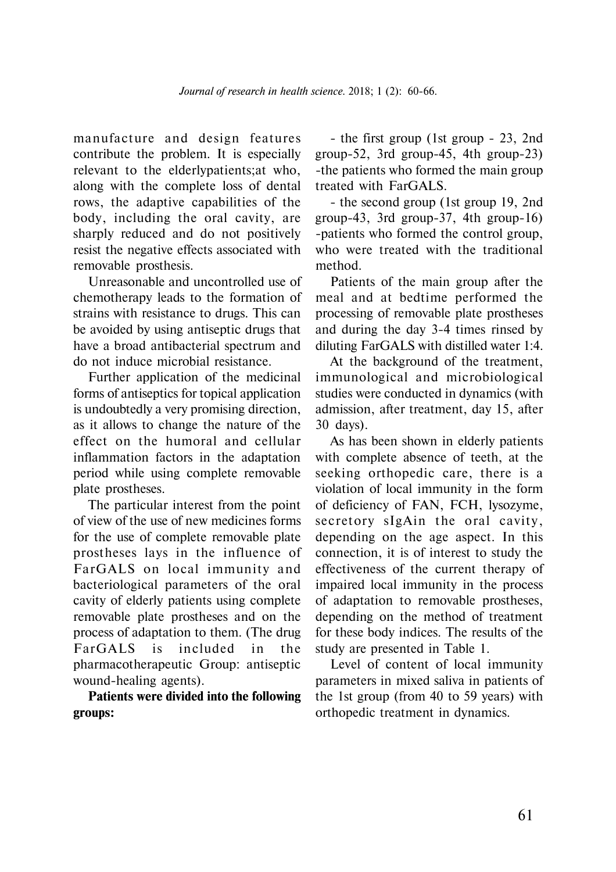manufacture and design features contribute the problem. It is especially relevant to the elderlypatients;at who, along with the complete loss of dental rows, the adaptive capabilities of the body, including the oral cavity, are sharply reduced and do not positively resist the negative effects associated with removable prosthesis.

Unreasonable and uncontrolled use of chemotherapy leads to the formation of strains with resistance to drugs. This can be avoided by using antiseptic drugs that have a broad antibacterial spectrum and do not induce microbial resistance.

Further application of the medicinal forms of antiseptics for topical application is undoubtedly a very promising direction, as it allows to change the nature of the effect on the humoral and cellular inflammation factors in the adaptation period while using complete removable plate prostheses.

The particular interest from the point of view of the use of new medicines forms for the use of complete removable plate prostheses lays in the influence of FarGALS on local immunity and bacteriological parameters of the oral cavity of elderly patients using complete removable plate prostheses and on the process of adaptation to them. (The drug FarGALS is included in the pharmacotherapeutic Group: antiseptic wound-healing agents).

**Patients were divided into the following groups:**

- the first group (1st group - 23, 2nd group-52, 3rd group-45, 4th group-23) -the patients who formed the main group treated with FarGALS.

- the second group (1st group 19, 2nd group-43, 3rd group-37, 4th group-16) -patients who formed the control group, who were treated with the traditional method.

Patients of the main group after the meal and at bedtime performed the processing of removable plate prostheses and during the day 3-4 times rinsed by diluting FarGALS with distilled water 1:4.

At the background of the treatment, immunological and microbiological studies were conducted in dynamics (with admission, after treatment, day 15, after 30 days).

As has been shown in elderly patients with complete absence of teeth, at the seeking orthopedic care, there is a violation of local immunity in the form of deficiency of FAN, FCH, lysozyme, secretory sIgAin the oral cavity, depending on the age aspect. In this connection, it is of interest to study the effectiveness of the current therapy of impaired local immunity in the process of adaptation to removable prostheses, depending on the method of treatment for these body indices. The results of the study are presented in Table 1.

Level of content of local immunity parameters in mixed saliva in patients of the 1st group (from 40 to 59 years) with orthopedic treatment in dynamics.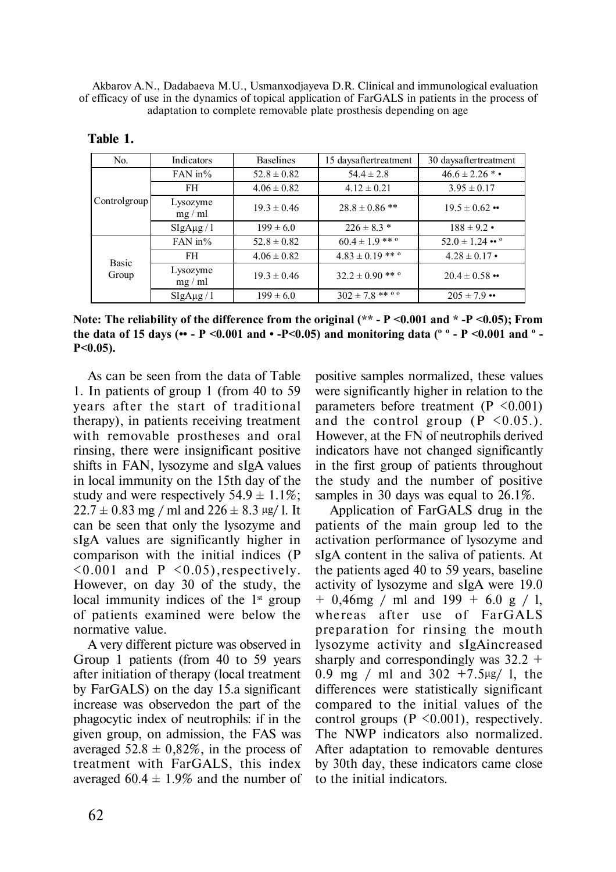Akbarov A.N., Dadabaeva M.U., Usmanxodjayeva D.R. Clinical and immunological evaluation of efficacy of use in the dynamics of topical application of FarGALS in patients in the process of adaptation to complete removable plate prosthesis depending on age

| No.            | Indicators                | <b>Baselines</b> | 15 daysaftertreatment            | 30 daysaftertreatment         |
|----------------|---------------------------|------------------|----------------------------------|-------------------------------|
| Controlgroup   | FAN in $%$                | $52.8 \pm 0.82$  | $54.4 \pm 2.8$                   | $46.6 \pm 2.26$ * •           |
|                | <b>FH</b>                 | $4.06 \pm 0.82$  | $4.12 \pm 0.21$                  | $3.95 \pm 0.17$               |
|                | Lysozyme<br>$mg$ / ml     | $19.3 \pm 0.46$  | $28.8 \pm 0.86$ **               | $19.5 \pm 0.62$ ••            |
|                | SigAug / 1                | $199 \pm 6.0$    | $226 \pm 8.3$ *                  | $188 \pm 9.2$ •               |
| Basic<br>Group | FAN in $%$                | $52.8 \pm 0.82$  | $60.4 \pm 1.9$ ***               | $52.0 \pm 1.24$ •• $^{\circ}$ |
|                | FH.                       | $4.06 \pm 0.82$  | $4.83 \pm 0.19$ ** $^{\circ}$    | $4.28 \pm 0.17$ •             |
|                | Lysozyme<br>$mg$ / ml     | $19.3 \pm 0.46$  | $32.2 \pm 0.90$ ** $\circ$       | $20.4 \pm 0.58$ ••            |
|                | $\frac{\text{SigAug}}{1}$ | $199 \pm 6.0$    | $302 \pm 7.8$ ** $\circ$ $\circ$ | $205 \pm 7.9$                 |

| Table |  |
|-------|--|
|-------|--|

**Note: The reliability of the difference from the original (\*\* - P <0.001 and \* -P <0.05); From the data of 15 days (•• - P <0.001 and • -Р<0.05) and monitoring data (º º - P <0.001 and º - Р<0.05).**

As can be seen from the data of Table 1. In patients of group 1 (from 40 to 59 years a fter the start of traditional therapy), in patients receiving treatment with removable prostheses and oral rinsing, there were insignificant positive shifts in FAN, lysozyme and sIgA values in local immunity on the 15th day of the study and were respectively  $54.9 \pm 1.1\%$ ;  $22.7 \pm 0.83$  mg / ml and  $226 \pm 8.3$  µg/ l. It can be seen that only the lysozyme and sIgA values are significantly higher in comparison with the initial indices (P  $\leq 0.001$  and P  $\leq 0.05$ ), respectively. However, on day 30 of the study, the local immunity indices of the  $1<sup>st</sup>$  group of patients examined were below the normative value.

A very different picture was observed in Group 1 patients (from 40 to 59 years after initiation of therapy (local treatment by FarGALS) on the day 15.a significant increase was observedon the part of the phagocytic index of neutrophils: if in the given group, on admission, the FAS was averaged  $52.8 \pm 0.82\%$ , in the process of treatment with FarGALS, this index averaged  $60.4 \pm 1.9\%$  and the number of positive samples normalized, these values were significantly higher in relation to the parameters before treatment  $(P \le 0.001)$ and the control group  $(P \le 0.05)$ . However, at the FN of neutrophils derived indicators have not changed significantly in the first group of patients throughout the study and the number of positive samples in 30 days was equal to 26.1%.

Application of FarGALS drug in the patients of the main group led to the activation performance of lysozyme and sIgA content in the saliva of patients. At the patients aged 40 to 59 years, baseline activity of lysozyme and sIgA were 19.0  $+$  0,46mg / ml and 199  $+$  6.0 g / 1, whereas after use of FarGALS preparation for rinsing the mouth lysozyme activity and sIgAincreased sharply and correspondingly was 32.2 + 0.9 mg / ml and 302 +7.5μg/ l, the differences were statistically significant compared to the initial values of the control groups  $(P \le 0.001)$ , respectively. The NWP indicators also normalized. After adaptation to removable dentures by 30th day, these indicators came close to the initial indicators.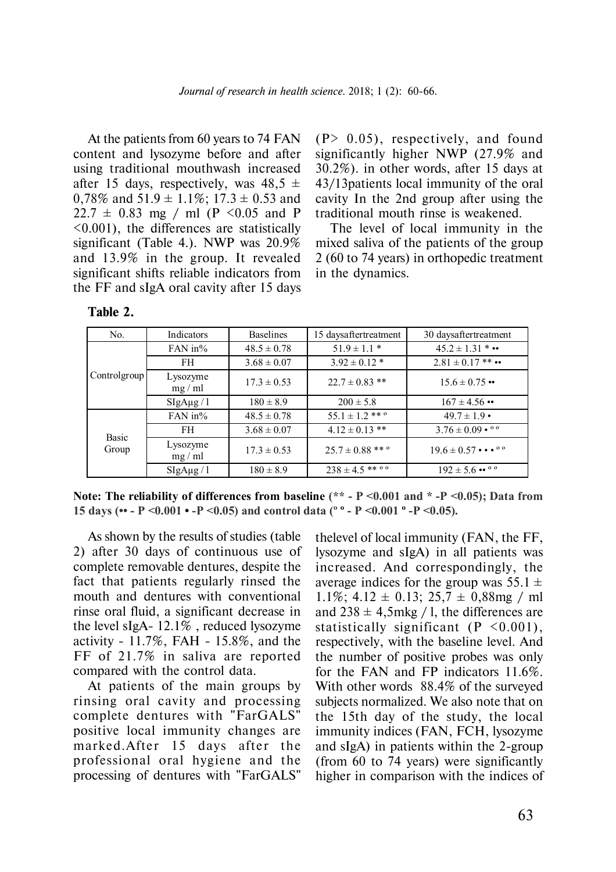At the patients from 60 years to 74 FAN content and lysozyme before and after using traditional mouthwash increased after 15 days, respectively, was  $48,5 \pm$ 0,78% and  $51.9 \pm 1.1\%$ ; 17.3  $\pm$  0.53 and  $22.7 \pm 0.83$  mg / ml (P < 0.05 and P <0.001), the differences are statistically significant (Table 4.). NWP was 20.9% and 13.9% in the group. It revealed significant shifts reliable indicators from the FF and sIgA oral cavity after 15 days

 $(P> 0.05)$ , respectively, and found significantly higher NWP (27.9% and 30.2%). in other words, after 15 days at 43/13patients local immunity of the oral cavity In the 2nd group after using the traditional mouth rinse is weakened.

The level of local immunity in the mixed saliva of the patients of the group 2 (60 to 74 years) in orthopedic treatment in the dynamics.

| No.            | Indicators                | <b>Baselines</b> | 15 daysaftertreatment                  | 30 daysaftertreatment                                           |
|----------------|---------------------------|------------------|----------------------------------------|-----------------------------------------------------------------|
| Controlgroup   | FAN in $%$                | $48.5 \pm 0.78$  | $51.9 \pm 1.1$ *                       | $45.2 \pm 1.31$ *                                               |
|                | FH                        | $3.68 \pm 0.07$  | $3.92 \pm 0.12$ *                      | $2.81 \pm 0.17$ ** ••                                           |
|                | Lysozyme<br>$mg$ / ml     | $17.3 \pm 0.53$  | $22.7 \pm 0.83$ **                     | $15.6 \pm 0.75$ ••                                              |
|                | $\frac{\text{SigAug}}{1}$ | $180 \pm 8.9$    | $200 \pm 5.8$                          | $167 \pm 4.56$ ••                                               |
| Basic<br>Group | FAN in $%$                | $48.5 \pm 0.78$  | $55.1 \pm 1.2$ ** $^{\circ}$           | $49.7 \pm 1.9$ •                                                |
|                | FH                        | $3.68 \pm 0.07$  | $4.12 \pm 0.13$ **                     | $3.76 \pm 0.09 \cdot 80$                                        |
|                | Lysozyme<br>$mg$ / ml     | $17.3 \pm 0.53$  | $25.7 \pm 0.88$ ** °                   | $19.6 \pm 0.57 \cdot \cdot \cdot \cdot$ <sup>o</sup>            |
|                | $\frac{\text{SigAug}}{1}$ | $180 \pm 8.9$    | $238 \pm 4.5$ ** $^{\circ}$ $^{\circ}$ | $192 \pm 5.6 \cdot \cdot \cdot$ $\cdot$ $\cdot$ $\cdot$ $\cdot$ |

**Table 2.**

**Note: The reliability of differences from baseline (\*\* - P <0.001 and \* -P <0.05); Data from 15 days (•• - P <0.001 • -P <0.05) and control data (º º - P <0.001 º -P <0.05).**

As shown by the results of studies (table 2) after 30 days of continuous use of complete removable dentures, despite the fact that patients regularly rinsed the mouth and dentures with conventional rinse oral fluid, a significant decrease in the level sIgA- 12.1% , reduced lysozyme activity - 11.7%, FAH - 15.8%, and the FF of 21.7% in saliva are reported compared with the control data.

At patients of the main groups by rinsing oral cavity and processing complete dentures with "FarGALS" positive local immunity changes are marked.After 15 days after the professional oral hygiene and the processing of dentures with "FarGALS"

thelevel of local immunity (FAN, the FF, lysozyme and sIgA) in all patients was increased. And correspondingly, the average indices for the group was  $55.1 \pm$ 1.1%;  $4.12 \pm 0.13$ ;  $25.7 \pm 0.88$ mg / ml and  $238 \pm 4.5$  mkg / 1, the differences are statistically significant  $(P \le 0.001)$ , respectively, with the baseline level. And the number of positive probes was only for the FAN and FP indicators 11.6%. With other words 88.4% of the surveyed subjects normalized. We also note that on the 15th day of the study, the local immunity indices (FAN, FCH, lysozyme and sIgA) in patients within the 2-group (from 60 to 74 years) were significantly higher in comparison with the indices of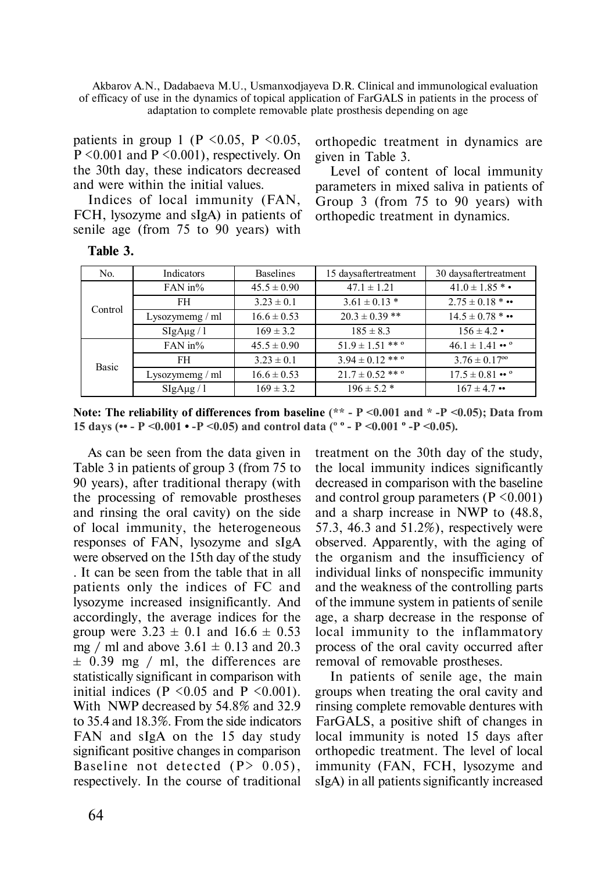Akbarov A.N., Dadabaeva M.U., Usmanxodjayeva D.R. Clinical and immunological evaluation of efficacy of use in the dynamics of topical application of FarGALS in patients in the process of adaptation to complete removable plate prosthesis depending on age

patients in group 1 (P  $<0.05$ , P  $<0.05$ ,  $P \leq 0.001$  and  $P \leq 0.001$ ), respectively. On the 30th day, these indicators decreased and were within the initial values.

Indices of local immunity (FAN, FCH, lysozyme and sIgA) in patients of senile age (from 75 to 90 years) with

**Table 3.**

orthopedic treatment in dynamics are given in Table 3.

Level of content of local immunity parameters in mixed saliva in patients of Group 3 (from 75 to 90 years) with orthopedic treatment in dynamics.

| No.     | Indicators      | <b>Baselines</b> | 15 daysaftertreatment         | 30 daysaftertreatment                          |
|---------|-----------------|------------------|-------------------------------|------------------------------------------------|
| Control | $FAN$ in%       | $45.5 \pm 0.90$  | $47.1 \pm 1.21$               | $41.0 \pm 1.85$ *•                             |
|         | FH              | $3.23 \pm 0.1$   | $3.61 \pm 0.13$ *             | $2.75 \pm 0.18$ * ••                           |
|         | Lysozymemg / ml | $16.6 \pm 0.53$  | $20.3 \pm 0.39$ **            | $14.5 \pm 0.78$ * ••                           |
|         | SigAug / 1      | $169 \pm 3.2$    | $185 \pm 8.3$                 | $156 \pm 4.2$ •                                |
| Basic   | $FAN$ in%       | $45.5 \pm 0.90$  | $51.9 \pm 1.51$ ** $^{\circ}$ | $46.1 \pm 1.41$ $\cdot \cdot$ $^{\circ}$       |
|         | FH.             | $3.23 \pm 0.1$   | $3.94 \pm 0.12$ ** °          | $3.76 \pm 0.17$ <sup>oo</sup>                  |
|         | Lysozymemg / ml | $16.6 \pm 0.53$  | $21.7 \pm 0.52$ ** °          | $17.5 \pm 0.81 \cdot \cdot \cdot$ <sup>o</sup> |
|         | SigAug / 1      | $169 \pm 3.2$    | $196 \pm 5.2$ *               | $167 \pm 4.7$ ••                               |

**Note: The reliability of differences from baseline (\*\* - P <0.001 and \* -P <0.05); Data from 15 days (•• - P <0.001 • -P <0.05) and control data (º º - P <0.001 º -P <0.05).**

As can be seen from the data given in Table 3 in patients of group 3 (from 75 to 90 years), after traditional therapy (with the processing of removable prostheses and rinsing the oral cavity) on the side of local immunity, the heterogeneous responses of FAN, lysozyme and sIgA were observed on the 15th day of the study . It can be seen from the table that in all patients only the indices of FC and lysozyme increased insignificantly. And accordingly, the average indices for the group were  $3.23 \pm 0.1$  and  $16.6 \pm 0.53$ mg / ml and above  $3.61 \pm 0.13$  and  $20.3$  $\pm$  0.39 mg / ml, the differences are statistically significant in comparison with initial indices (P  $\leq$  0.05 and P  $\leq$  0.001). With NWP decreased by 54.8% and 32.9 to 35.4 and 18.3%. From the side indicators FAN and sIgA on the 15 day study significant positive changes in comparison Baseline not detected  $(P > 0.05)$ . respectively. In the course of traditional treatment on the 30th day of the study, the local immunity indices significantly decreased in comparison with the baseline and control group parameters ( $P \le 0.001$ ) and a sharp increase in NWP to (48.8, 57.3, 46.3 and 51.2%), respectively were observed. Apparently, with the aging of the organism and the insufficiency of individual links of nonspecific immunity and the weakness of the controlling parts of the immune system in patients of senile age, a sharp decrease in the response of local immunity to the inflammatory process of the oral cavity occurred after removal of removable prostheses.

In patients of senile age, the main groups when treating the oral cavity and rinsing complete removable dentures with FarGALS, a positive shift of changes in local immunity is noted 15 days after orthopedic treatment. The level of local immunity (FAN, FCH, lysozyme and sIgA) in all patients significantly increased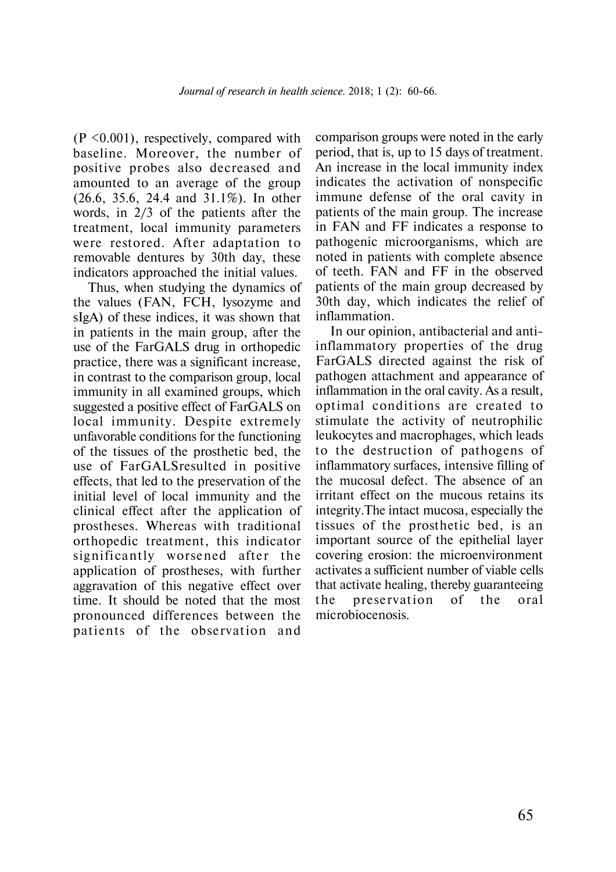$(P \leq 0.001)$ , respectively, compared with baseline. Moreover, the number of positive probes also decreased and amounted to an average of the group (26.6, 35.6, 24.4 and 31.1%). In other words, in 2/3 of the patients after the treatment, local immunity parameters were restored. After adaptation to removable dentures by 30th day, these indicators approached the initial values.

Thus, when studying the dynamics of the values (FAN, FCH, lysozyme and sIgA) of these indices, it was shown that in patients in the main group, after the use of the FarGALS drug in orthopedic practice, there was a significant increase, in contrast to the comparison group, local immunity in all examined groups, which suggested a positive effect of FarGALS on local immunity. Despite extremely unfavorable conditions for the functioning of the tissues of the prosthetic bed, the use of FarGALSresulted in positive effects, that led to the preservation of the initial level of local immunity and the clinical effect after the application of prostheses. Whereas with traditional orthopedic treatment, this indicator significantly worsened after the application of prostheses, with further aggravation of this negative effect over time. It should be noted that the most pronounced differences between the patients of the observation and

comparison groups were noted in the early period, that is, up to 15 days of treatment. An increase in the local immunity index indicates the activation of nonspecific immune defense of the oral cavity in patients of the main group. The increase in FAN and FF indicates a response to pathogenic microorganisms, which are noted in patients with complete absence of teeth. FAN and FF in the observed patients of the main group decreased by 30th day, which indicates the relief of inflammation.

In our opinion, antibacterial and antiinflammatory properties of the drug FarGALS directed against the risk of pathogen attachment and appearance of inflammation in the oral cavity. As a result, optimal conditions are created to stimulate the activity of neutrophilic leukocytes and macrophages, which leads to the destruction of pathogens of inflammatory surfaces, intensive filling of the mucosal defect. The absence of an irritant effect on the mucous retains its integrity.The intact mucosa, especially the tissues of the prosthetic bed, is an important source of the epithelial layer covering erosion: the microenvironment activates a sufficient number of viable cells that activate healing, thereby guaranteeing the preservation of the oral microbiocenosis.